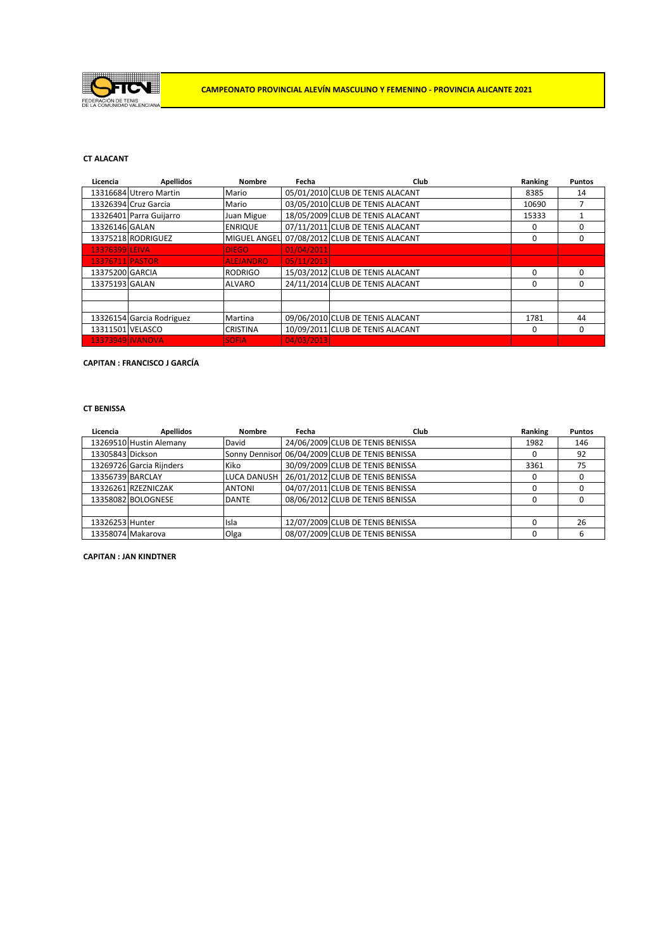

## **CT ALACANT**

| Licencia         | <b>Apellidos</b>          | <b>Nombre</b>       | Fecha      | Club                             | Ranking  | <b>Puntos</b> |
|------------------|---------------------------|---------------------|------------|----------------------------------|----------|---------------|
|                  | 13316684 Utrero Martin    | Mario               |            | 05/01/2010 CLUB DE TENIS ALACANT | 8385     | 14            |
|                  | 13326394 Cruz Garcia      | Mario               |            | 03/05/2010 CLUB DE TENIS ALACANT | 10690    |               |
|                  | 13326401 Parra Guijarro   | Juan Migue          |            | 18/05/2009 CLUB DE TENIS ALACANT | 15333    |               |
| 13326146 GALAN   |                           | <b>ENRIQUE</b>      |            | 07/11/2011 CLUB DE TENIS ALACANT | 0        | 0             |
|                  | 13375218 RODRIGUEZ        | <b>MIGUEL ANGEL</b> |            | 07/08/2012 CLUB DE TENIS ALACANT | 0        | 0             |
| 13376399 LEIVA   |                           | <b>DIEGO</b>        | 01/04/2011 |                                  |          |               |
| 13376711 PASTOR  |                           | <b>ALEJANDRO</b>    | 05/11/2013 |                                  |          |               |
| 13375200 GARCIA  |                           | <b>RODRIGO</b>      |            | 15/03/2012 CLUB DE TENIS ALACANT | 0        | 0             |
| 13375193 GALAN   |                           | <b>ALVARO</b>       |            | 24/11/2014 CLUB DE TENIS ALACANT | $\Omega$ | 0             |
|                  |                           |                     |            |                                  |          |               |
|                  |                           |                     |            |                                  |          |               |
|                  | 13326154 Garcia Rodriguez | Martina             |            | 09/06/2010 CLUB DE TENIS ALACANT | 1781     | 44            |
| 13311501 VELASCO |                           | <b>CRISTINA</b>     |            | 10/09/2011 CLUB DE TENIS ALACANT | 0        | 0             |
|                  | 13373949 IVANOVA          | <b>SOFIA</b>        | 04/03/2013 |                                  |          |               |

## **CAPITAN : FRANCISCO J GARCÍA**

### **CT BENISSA**

| Licencia         | <b>Apellidos</b>         | <b>Nombre</b>         | Fecha | Club                             | Ranking | <b>Puntos</b> |
|------------------|--------------------------|-----------------------|-------|----------------------------------|---------|---------------|
|                  | 13269510 Hustin Alemany  | David                 |       | 24/06/2009 CLUB DE TENIS BENISSA | 1982    | 146           |
| 13305843 Dickson |                          | <b>Sonny Dennisor</b> |       | 06/04/2009 CLUB DE TENIS BENISSA | O       | 92            |
|                  | 13269726 Garcia Rijnders | Kiko                  |       | 30/09/2009 CLUB DE TENIS BENISSA | 3361    | 75            |
| 13356739 BARCLAY |                          | <b>LUCA DANUSH</b>    |       | 26/01/2012 CLUB DE TENIS BENISSA | 0       |               |
|                  | 13326261 RZEZNICZAK      | <b>ANTONI</b>         |       | 04/07/2011 CLUB DE TENIS BENISSA |         |               |
|                  | 13358082 BOLOGNESE       | <b>DANTE</b>          |       | 08/06/2012 CLUB DE TENIS BENISSA |         |               |
|                  |                          |                       |       |                                  |         |               |
| 13326253 Hunter  |                          | Isla                  |       | 12/07/2009 CLUB DE TENIS BENISSA |         | 26            |
|                  | 13358074 Makarova        | Olga                  |       | 08/07/2009 CLUB DE TENIS BENISSA |         | ь             |

**CAPITAN : JAN KINDTNER**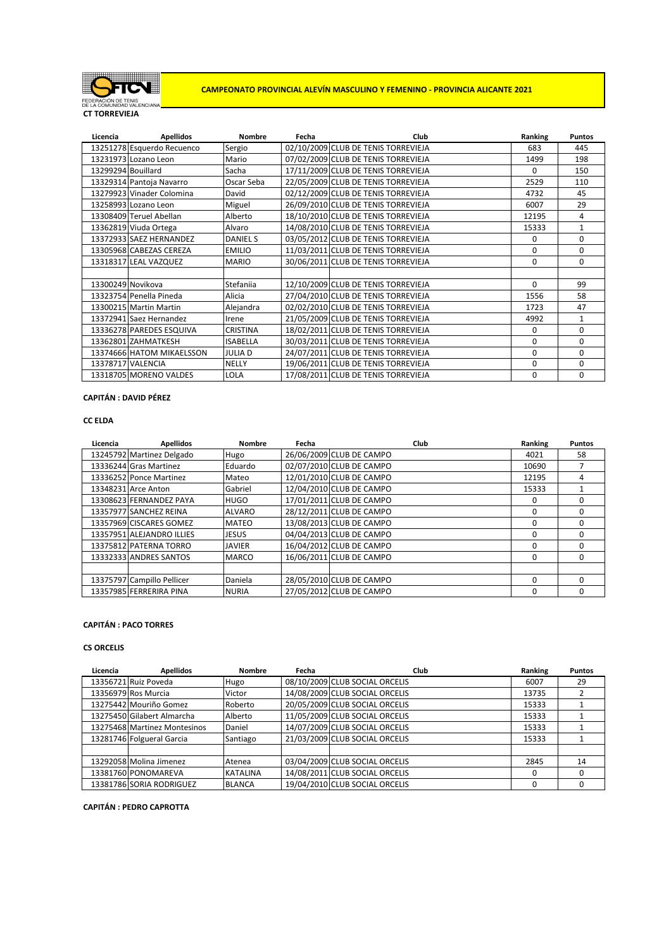

**CAMPEONATO PROVINCIAL ALEVÍN MASCULINO Y FEMENINO - PROVINCIA ALICANTE 2021**

**CT TORREVIEJA**

| Licencia           | <b>Apellidos</b>           | <b>Nombre</b>   | Fecha | Club                                | Ranking      | <b>Puntos</b> |
|--------------------|----------------------------|-----------------|-------|-------------------------------------|--------------|---------------|
|                    | 13251278 Esquerdo Recuenco | Sergio          |       | 02/10/2009 CLUB DE TENIS TORREVIEJA | 683          | 445           |
|                    | 13231973 Lozano Leon       | Mario           |       | 07/02/2009 CLUB DE TENIS TORREVIEJA | 1499         | 198           |
| 13299294 Bouillard |                            | Sacha           |       | 17/11/2009 CLUB DE TENIS TORREVIEJA | <sup>0</sup> | 150           |
|                    | 13329314 Pantoja Navarro   | Oscar Seba      |       | 22/05/2009 CLUB DE TENIS TORREVIEJA | 2529         | 110           |
|                    | 13279923 Vinader Colomina  | David           |       | 02/12/2009 CLUB DE TENIS TORREVIEJA | 4732         | 45            |
|                    | 13258993 Lozano Leon       | Miguel          |       | 26/09/2010 CLUB DE TENIS TORREVIEJA | 6007         | 29            |
|                    | 13308409 Teruel Abellan    | Alberto         |       | 18/10/2010 CLUB DE TENIS TORREVIEJA | 12195        | 4             |
|                    | 13362819 Viuda Ortega      | Alvaro          |       | 14/08/2010 CLUB DE TENIS TORREVIEJA | 15333        | $\mathbf{1}$  |
|                    | 13372933 SAEZ HERNANDEZ    | <b>DANIEL S</b> |       | 03/05/2012 CLUB DE TENIS TORREVIEJA | $\Omega$     | $\Omega$      |
|                    | 13305968 CABEZAS CEREZA    | <b>EMILIO</b>   |       | 11/03/2011 CLUB DE TENIS TORREVIEJA | 0            | 0             |
|                    | 13318317 LEAL VAZQUEZ      | <b>MARIO</b>    |       | 30/06/2011 CLUB DE TENIS TORREVIEJA | $\Omega$     | $\Omega$      |
|                    |                            |                 |       |                                     |              |               |
| 13300249 Novikova  |                            | Stefanija       |       | 12/10/2009 CLUB DE TENIS TORREVIEJA | $\Omega$     | 99            |
|                    | 13323754 Penella Pineda    | Alicia          |       | 27/04/2010 CLUB DE TENIS TORREVIEJA | 1556         | 58            |
|                    | 13300215 Martin Martin     | Alejandra       |       | 02/02/2010 CLUB DE TENIS TORREVIEJA | 1723         | 47            |
|                    | 13372941 Saez Hernandez    | Irene           |       | 21/05/2009 CLUB DE TENIS TORREVIEJA | 4992         | $\mathbf{1}$  |
|                    | 13336278 PAREDES ESQUIVA   | <b>CRISTINA</b> |       | 18/02/2011 CLUB DE TENIS TORREVIEJA | $\Omega$     | $\Omega$      |
|                    | 13362801 ZAHMATKESH        | <b>ISABELLA</b> |       | 30/03/2011 CLUB DE TENIS TORREVIEJA | $\Omega$     | 0             |
|                    | 13374666 HATOM MIKAELSSON  | <b>JULIAD</b>   |       | 24/07/2011 CLUB DE TENIS TORREVIEJA | 0            | $\Omega$      |
|                    | 13378717 VALENCIA          | <b>NELLY</b>    |       | 19/06/2011 CLUB DE TENIS TORREVIEJA | 0            | $\Omega$      |
|                    | 13318705 MORENO VALDES     | LOLA            |       | 17/08/2011 CLUB DE TENIS TORREVIEJA | 0            | $\Omega$      |

### **CAPITÁN : DAVID PÉREZ**

#### **CC ELDA**

| Licencia | <b>Apellidos</b>           | <b>Nombre</b> | Fecha | Club                     | Ranking  | <b>Puntos</b> |
|----------|----------------------------|---------------|-------|--------------------------|----------|---------------|
|          | 13245792 Martinez Delgado  | Hugo          |       | 26/06/2009 CLUB DE CAMPO | 4021     | 58            |
|          | 13336244 Gras Martinez     | Eduardo       |       | 02/07/2010 CLUB DE CAMPO | 10690    |               |
|          | 13336252 Ponce Martinez    | Mateo         |       | 12/01/2010 CLUB DE CAMPO | 12195    | 4             |
|          | 13348231 Arce Anton        | Gabriel       |       | 12/04/2010 CLUB DE CAMPO | 15333    |               |
|          | 13308623 FERNANDEZ PAYA    | <b>HUGO</b>   |       | 17/01/2011 CLUB DE CAMPO | 0        | O             |
|          | 13357977 SANCHEZ REINA     | <b>ALVARO</b> |       | 28/12/2011 CLUB DE CAMPO | $\Omega$ | O             |
|          | 13357969 CISCARES GOMEZ    | <b>MATEO</b>  |       | 13/08/2013 CLUB DE CAMPO | 0        | 0             |
|          | 13357951 ALEJANDRO ILLIES  | JESUS         |       | 04/04/2013 CLUB DE CAMPO | 0        | O             |
|          | 13375812 PATERNA TORRO     | <b>JAVIER</b> |       | 16/04/2012 CLUB DE CAMPO | $\Omega$ | ŋ             |
|          | 13332333 ANDRES SANTOS     | <b>MARCO</b>  |       | 16/06/2011 CLUB DE CAMPO | $\Omega$ | 0             |
|          |                            |               |       |                          |          |               |
|          | 13375797 Campillo Pellicer | Daniela       |       | 28/05/2010 CLUB DE CAMPO | $\Omega$ | O             |
|          | 13357985 FERRERIRA PINA    | <b>NURIA</b>  |       | 27/05/2012 CLUB DE CAMPO | $\Omega$ | 0             |

## **CAPITÁN : PACO TORRES**

# **CS ORCELIS**

| Licencia | <b>Apellidos</b>             | <b>Nombre</b>   | Fecha | Club                           | Ranking | <b>Puntos</b> |
|----------|------------------------------|-----------------|-------|--------------------------------|---------|---------------|
|          | 13356721 Ruiz Poveda         | Hugo            |       | 08/10/2009 CLUB SOCIAL ORCELIS | 6007    | 29            |
|          | 13356979 Ros Murcia          | Victor          |       | 14/08/2009 CLUB SOCIAL ORCELIS | 13735   |               |
|          | 13275442 Mouriño Gomez       | Roberto         |       | 20/05/2009 CLUB SOCIAL ORCELIS | 15333   |               |
|          | 13275450 Gilabert Almarcha   | Alberto         |       | 11/05/2009 CLUB SOCIAL ORCELIS | 15333   |               |
|          | 13275468 Martinez Montesinos | Daniel          |       | 14/07/2009 CLUB SOCIAL ORCELIS | 15333   |               |
|          | 13281746 Folgueral Garcia    | Santiago        |       | 21/03/2009 CLUB SOCIAL ORCELIS | 15333   |               |
|          |                              |                 |       |                                |         |               |
|          | 13292058 Molina Jimenez      | Atenea          |       | 03/04/2009 CLUB SOCIAL ORCELIS | 2845    | 14            |
|          | 13381760 PONOMAREVA          | <b>KATALINA</b> |       | 14/08/2011 CLUB SOCIAL ORCELIS | 0       |               |
|          | 13381786 SORIA RODRIGUEZ     | <b>BLANCA</b>   |       | 19/04/2010 CLUB SOCIAL ORCELIS |         |               |

**CAPITÁN : PEDRO CAPROTTA**